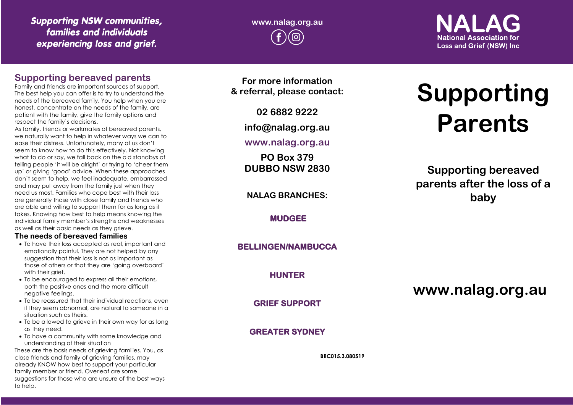# *Supporting NSW communities, families and individuals experiencing loss and grief.*

**www.nalag.org.au**

 $\blacksquare$ **National Association for Loss and Grief (NSW) Inc.** 

## **Supporting bereaved parents**

Family and friends are important sources of support. The best help you can offer is to try to understand the needs of the bereaved family. You help when you are honest, concentrate on the needs of the family, are patient with the family, give the family options and respect the family's decisions.

As family, friends or workmates of bereaved parents, we naturally want to help in whatever ways we can to ease their distress. Unfortunately, many of us don't seem to know how to do this effectively. Not knowing what to do or say, we fall back on the old standbys of telling people 'it will be alright' or trying to 'cheer them up' or giving 'good' advice. When these approaches don't seem to help, we feel inadequate, embarrassed and may pull away from the family just when they need us most. Families who cope best with their loss are generally those with close family and friends who are able and willing to support them for as long as it takes. Knowing how best to help means knowing the individual family member's strengths and weaknesses as well as their basic needs as they grieve.

#### **The needs of bereaved families**

- To have their loss accepted as real, important and emotionally painful. They are not helped by any suggestion that their loss is not as important as those of others or that they are 'going overboard' with their grief.
- To be encouraged to express all their emotions, both the positive ones and the more difficult negative feelings.
- To be reassured that their individual reactions, even if they seem abnormal, are natural to someone in a situation such as theirs.
- To be allowed to arieve in their own way for as long as they need.
- To have a community with some knowledge and understanding of their situation

These are the basis needs of grieving families. You, as close friends and family of grieving families, may already KNOW how best to support your particular family member or friend. Overleaf are some suggestions for those who are unsure of the best ways to help.

**For more information & referral, please contact:**

**02 6882 9222**

**info@nalag.org.au**

**www.nalag.org.au**

**PO Box 379 DUBBO NSW 2830**

**NALAG BRANCHES:**

**MUDGEE** 

## **BELLINGEN/NAMBUCCA**

**HUNTER** 

**GRIEF SUPPORT** 

## **GREATER SYDNEY**

**BRC015.3.080519**

# **Supporting Parents**

**Supporting bereaved parents after the loss of a baby**

**www.nalag.org.au**